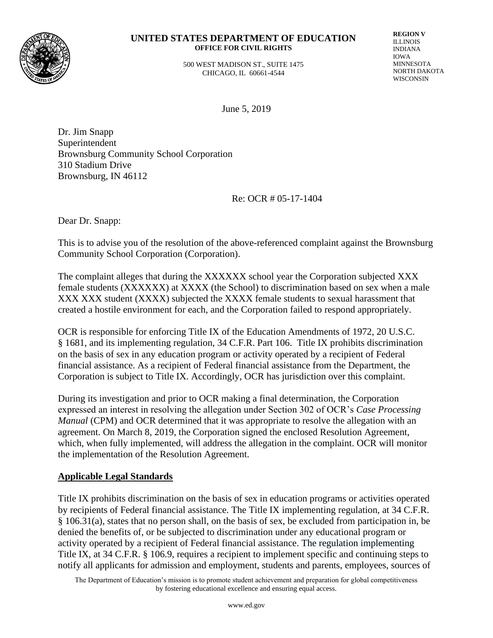

## **UNITED STATES DEPARTMENT OF EDUCATION OFFICE FOR CIVIL RIGHTS**

 500 WEST MADISON ST., SUITE 1475 CHICAGO, IL 60661-4544

**REGION V** ILLINOIS INDIANA IOWA MINNESOTA NORTH DAKOTA WISCONSIN

June 5, 2019

Dr. Jim Snapp Superintendent Brownsburg Community School Corporation 310 Stadium Drive Brownsburg, IN 46112

Re: OCR # 05-17-1404

Dear Dr. Snapp:

This is to advise you of the resolution of the above-referenced complaint against the Brownsburg Community School Corporation (Corporation).

The complaint alleges that during the XXXXXX school year the Corporation subjected XXX female students (XXXXXX) at XXXX (the School) to discrimination based on sex when a male XXX XXX student (XXXX) subjected the XXXX female students to sexual harassment that created a hostile environment for each, and the Corporation failed to respond appropriately.

OCR is responsible for enforcing Title IX of the Education Amendments of 1972, 20 U.S.C. § 1681, and its implementing regulation, 34 C.F.R. Part 106. Title IX prohibits discrimination on the basis of sex in any education program or activity operated by a recipient of Federal financial assistance. As a recipient of Federal financial assistance from the Department, the Corporation is subject to Title IX. Accordingly, OCR has jurisdiction over this complaint.

During its investigation and prior to OCR making a final determination, the Corporation expressed an interest in resolving the allegation under Section 302 of OCR's *Case Processing Manual* (CPM) and OCR determined that it was appropriate to resolve the allegation with an agreement. On March 8, 2019, the Corporation signed the enclosed Resolution Agreement, which, when fully implemented, will address the allegation in the complaint. OCR will monitor the implementation of the Resolution Agreement.

## **Applicable Legal Standards**

Title IX prohibits discrimination on the basis of sex in education programs or activities operated by recipients of Federal financial assistance. The Title IX implementing regulation, at 34 C.F.R. § 106.31(a), states that no person shall, on the basis of sex, be excluded from participation in, be denied the benefits of, or be subjected to discrimination under any educational program or activity operated by a recipient of Federal financial assistance. The regulation implementing Title IX, at 34 C.F.R. § 106.9, requires a recipient to implement specific and continuing steps to notify all applicants for admission and employment, students and parents, employees, sources of

The Department of Education's mission is to promote student achievement and preparation for global competitiveness by fostering educational excellence and ensuring equal access.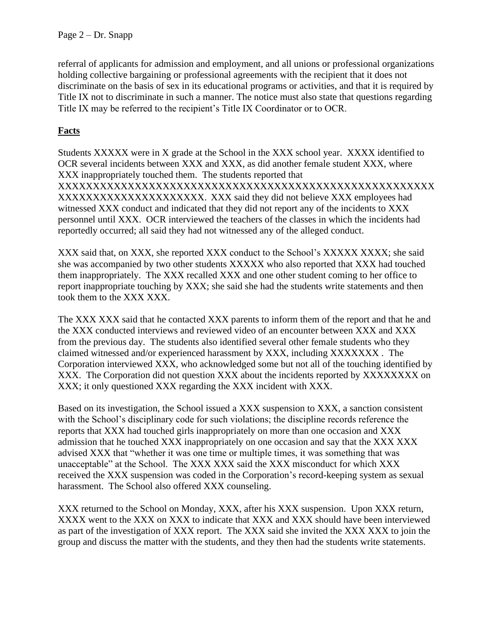referral of applicants for admission and employment, and all unions or professional organizations holding collective bargaining or professional agreements with the recipient that it does not discriminate on the basis of sex in its educational programs or activities, and that it is required by Title IX not to discriminate in such a manner. The notice must also state that questions regarding Title IX may be referred to the recipient's Title IX Coordinator or to OCR.

## **Facts**

Students XXXXX were in X grade at the School in the XXX school year. XXXX identified to OCR several incidents between XXX and XXX, as did another female student XXX, where XXX inappropriately touched them. The students reported that XXXXXXXXXXXXXXXXXXXXXXXXXXXXXXXXXXXXXXXXXXXXXXXXXXXXXX XXXXXXXXXXXXXXXXXXXXX. XXX said they did not believe XXX employees had witnessed XXX conduct and indicated that they did not report any of the incidents to XXX personnel until XXX. OCR interviewed the teachers of the classes in which the incidents had reportedly occurred; all said they had not witnessed any of the alleged conduct.

XXX said that, on XXX, she reported XXX conduct to the School's XXXXX XXXX; she said she was accompanied by two other students XXXXX who also reported that XXX had touched them inappropriately. The XXX recalled XXX and one other student coming to her office to report inappropriate touching by XXX; she said she had the students write statements and then took them to the XXX XXX.

The XXX XXX said that he contacted XXX parents to inform them of the report and that he and the XXX conducted interviews and reviewed video of an encounter between XXX and XXX from the previous day. The students also identified several other female students who they claimed witnessed and/or experienced harassment by XXX, including XXXXXXX . The Corporation interviewed XXX, who acknowledged some but not all of the touching identified by XXX. The Corporation did not question XXX about the incidents reported by XXXXXXXX on XXX; it only questioned XXX regarding the XXX incident with XXX.

Based on its investigation, the School issued a XXX suspension to XXX, a sanction consistent with the School's disciplinary code for such violations; the discipline records reference the reports that XXX had touched girls inappropriately on more than one occasion and XXX admission that he touched XXX inappropriately on one occasion and say that the XXX XXX advised XXX that "whether it was one time or multiple times, it was something that was unacceptable" at the School. The XXX XXX said the XXX misconduct for which XXX received the XXX suspension was coded in the Corporation's record-keeping system as sexual harassment. The School also offered XXX counseling.

XXX returned to the School on Monday, XXX, after his XXX suspension. Upon XXX return, XXXX went to the XXX on XXX to indicate that XXX and XXX should have been interviewed as part of the investigation of XXX report. The XXX said she invited the XXX XXX to join the group and discuss the matter with the students, and they then had the students write statements.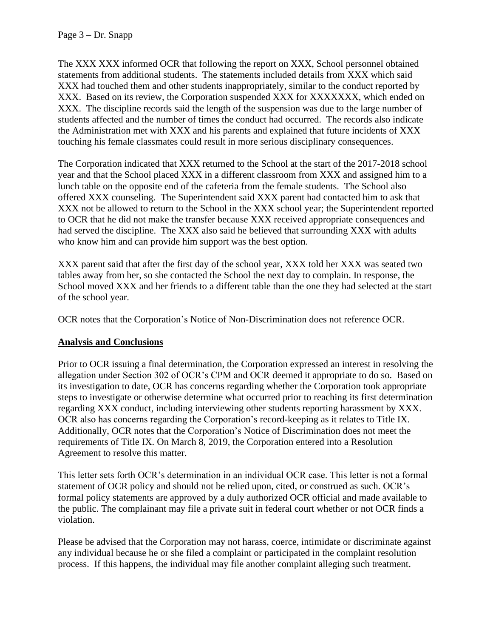Page 3 – Dr. Snapp

The XXX XXX informed OCR that following the report on XXX, School personnel obtained statements from additional students. The statements included details from XXX which said XXX had touched them and other students inappropriately, similar to the conduct reported by XXX. Based on its review, the Corporation suspended XXX for XXXXXXX, which ended on XXX. The discipline records said the length of the suspension was due to the large number of students affected and the number of times the conduct had occurred. The records also indicate the Administration met with XXX and his parents and explained that future incidents of XXX touching his female classmates could result in more serious disciplinary consequences.

The Corporation indicated that XXX returned to the School at the start of the 2017-2018 school year and that the School placed XXX in a different classroom from XXX and assigned him to a lunch table on the opposite end of the cafeteria from the female students. The School also offered XXX counseling. The Superintendent said XXX parent had contacted him to ask that XXX not be allowed to return to the School in the XXX school year; the Superintendent reported to OCR that he did not make the transfer because XXX received appropriate consequences and had served the discipline. The XXX also said he believed that surrounding XXX with adults who know him and can provide him support was the best option.

XXX parent said that after the first day of the school year, XXX told her XXX was seated two tables away from her, so she contacted the School the next day to complain. In response, the School moved XXX and her friends to a different table than the one they had selected at the start of the school year.

OCR notes that the Corporation's Notice of Non-Discrimination does not reference OCR.

## **Analysis and Conclusions**

Prior to OCR issuing a final determination, the Corporation expressed an interest in resolving the allegation under Section 302 of OCR's CPM and OCR deemed it appropriate to do so. Based on its investigation to date, OCR has concerns regarding whether the Corporation took appropriate steps to investigate or otherwise determine what occurred prior to reaching its first determination regarding XXX conduct, including interviewing other students reporting harassment by XXX. OCR also has concerns regarding the Corporation's record-keeping as it relates to Title IX. Additionally, OCR notes that the Corporation's Notice of Discrimination does not meet the requirements of Title IX. On March 8, 2019, the Corporation entered into a Resolution Agreement to resolve this matter.

This letter sets forth OCR's determination in an individual OCR case. This letter is not a formal statement of OCR policy and should not be relied upon, cited, or construed as such. OCR's formal policy statements are approved by a duly authorized OCR official and made available to the public. The complainant may file a private suit in federal court whether or not OCR finds a violation.

Please be advised that the Corporation may not harass, coerce, intimidate or discriminate against any individual because he or she filed a complaint or participated in the complaint resolution process. If this happens, the individual may file another complaint alleging such treatment.